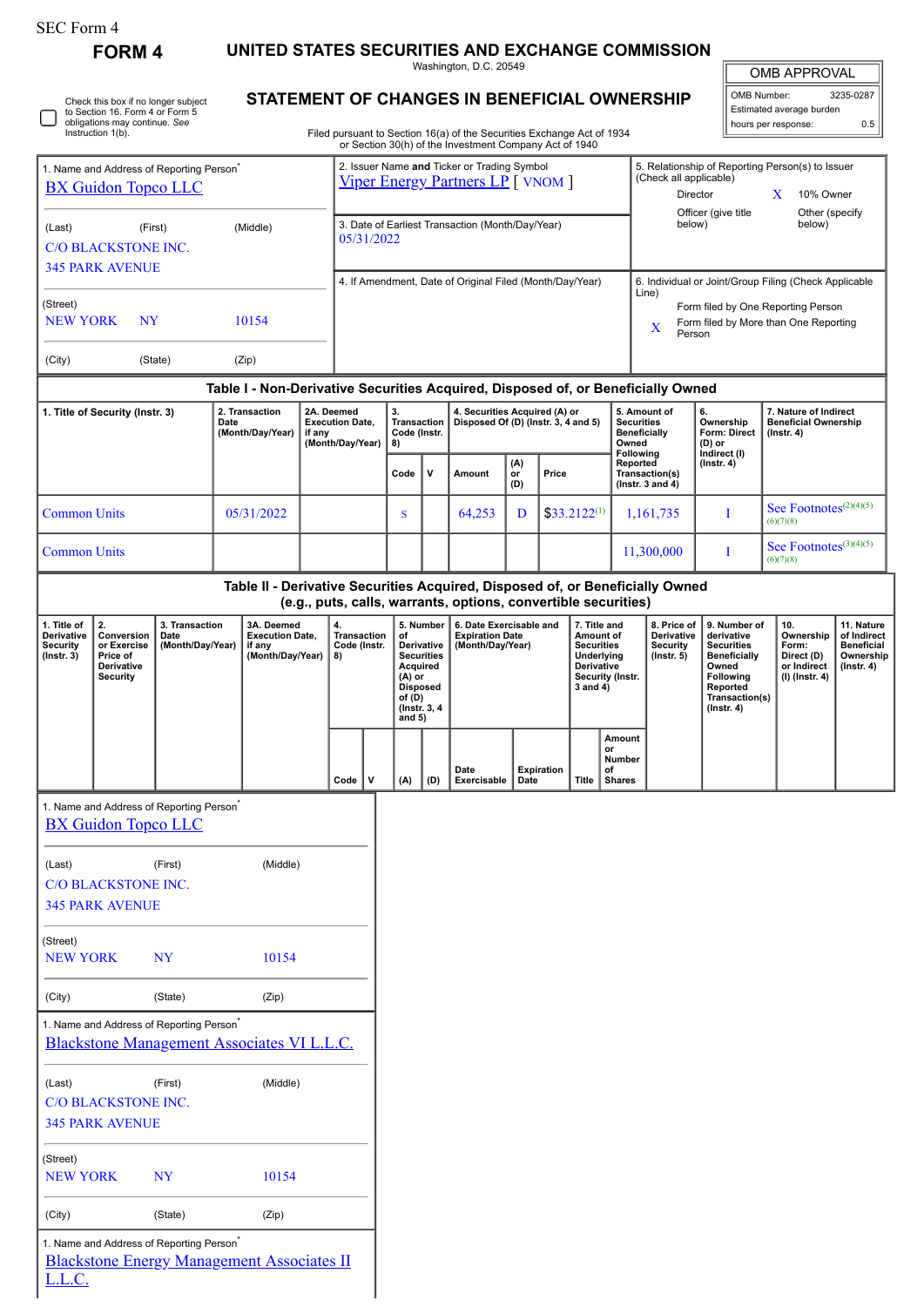| SEC Form 4 |  |
|------------|--|
|------------|--|

**FORM 4 UNITED STATES SECURITIES AND EXCHANGE COMMISSION** Washington, D.C. 20549

| <b>OMB APPROVAL</b> |
|---------------------|

|                                                                                    |                                                                                                                      |                                                                    |                                                                    |                                            |                                                          |                                                                |                                                                                                                                             |                                                                                  |                                                                       | Washington, D.C. 20549                                                                                                           |                                                                                                                |                   |                                                                                                |                                                                                                     |                                                                                                                                                |                                                                            |                                                                                 | <b>OMB APPROVAL</b>                                                                   |           |  |
|------------------------------------------------------------------------------------|----------------------------------------------------------------------------------------------------------------------|--------------------------------------------------------------------|--------------------------------------------------------------------|--------------------------------------------|----------------------------------------------------------|----------------------------------------------------------------|---------------------------------------------------------------------------------------------------------------------------------------------|----------------------------------------------------------------------------------|-----------------------------------------------------------------------|----------------------------------------------------------------------------------------------------------------------------------|----------------------------------------------------------------------------------------------------------------|-------------------|------------------------------------------------------------------------------------------------|-----------------------------------------------------------------------------------------------------|------------------------------------------------------------------------------------------------------------------------------------------------|----------------------------------------------------------------------------|---------------------------------------------------------------------------------|---------------------------------------------------------------------------------------|-----------|--|
|                                                                                    | Check this box if no longer subject<br>to Section 16. Form 4 or Form 5<br>obligations may continue. See              |                                                                    |                                                                    |                                            |                                                          |                                                                |                                                                                                                                             |                                                                                  |                                                                       | STATEMENT OF CHANGES IN BENEFICIAL OWNERSHIP                                                                                     |                                                                                                                |                   |                                                                                                |                                                                                                     |                                                                                                                                                |                                                                            | OMB Number:                                                                     | Estimated average burden                                                              | 3235-0287 |  |
|                                                                                    | Instruction 1(b).                                                                                                    |                                                                    |                                                                    |                                            |                                                          |                                                                |                                                                                                                                             |                                                                                  |                                                                       | Filed pursuant to Section 16(a) of the Securities Exchange Act of 1934<br>or Section 30(h) of the Investment Company Act of 1940 |                                                                                                                |                   |                                                                                                |                                                                                                     |                                                                                                                                                |                                                                            |                                                                                 | hours per response:                                                                   | 0.5       |  |
| 1. Name and Address of Reporting Person <sup>*</sup><br><b>BX Guidon Topco LLC</b> |                                                                                                                      |                                                                    |                                                                    |                                            |                                                          |                                                                |                                                                                                                                             | 2. Issuer Name and Ticker or Trading Symbol<br>Viper Energy Partners LP [ VNOM ] |                                                                       |                                                                                                                                  | 5. Relationship of Reporting Person(s) to Issuer<br>(Check all applicable)<br>Director<br>X.<br>10% Owner      |                   |                                                                                                |                                                                                                     |                                                                                                                                                |                                                                            |                                                                                 |                                                                                       |           |  |
| (Middle)<br>(Last)<br>(First)<br><b>C/O BLACKSTONE INC.</b>                        |                                                                                                                      |                                                                    |                                                                    |                                            |                                                          | 3. Date of Earliest Transaction (Month/Day/Year)<br>05/31/2022 |                                                                                                                                             |                                                                                  |                                                                       |                                                                                                                                  |                                                                                                                |                   |                                                                                                |                                                                                                     | Other (specify<br>Officer (give title<br>below)<br>below)                                                                                      |                                                                            |                                                                                 |                                                                                       |           |  |
|                                                                                    | <b>345 PARK AVENUE</b>                                                                                               |                                                                    |                                                                    |                                            |                                                          |                                                                |                                                                                                                                             |                                                                                  |                                                                       |                                                                                                                                  |                                                                                                                |                   |                                                                                                |                                                                                                     |                                                                                                                                                |                                                                            |                                                                                 | 6. Individual or Joint/Group Filing (Check Applicable                                 |           |  |
| (Street)<br>10154<br><b>NEW YORK</b><br>NY                                         |                                                                                                                      |                                                                    |                                                                    |                                            | 4. If Amendment, Date of Original Filed (Month/Day/Year) |                                                                |                                                                                                                                             |                                                                                  |                                                                       |                                                                                                                                  |                                                                                                                |                   |                                                                                                | Line)<br>Form filed by One Reporting Person<br>Form filed by More than One Reporting<br>X<br>Person |                                                                                                                                                |                                                                            |                                                                                 |                                                                                       |           |  |
| (City)                                                                             |                                                                                                                      | (State)                                                            |                                                                    | (Zip)                                      |                                                          |                                                                |                                                                                                                                             |                                                                                  |                                                                       |                                                                                                                                  |                                                                                                                |                   |                                                                                                |                                                                                                     |                                                                                                                                                |                                                                            |                                                                                 |                                                                                       |           |  |
|                                                                                    |                                                                                                                      |                                                                    |                                                                    |                                            |                                                          |                                                                |                                                                                                                                             |                                                                                  |                                                                       |                                                                                                                                  |                                                                                                                |                   |                                                                                                |                                                                                                     | Table I - Non-Derivative Securities Acquired, Disposed of, or Beneficially Owned                                                               |                                                                            |                                                                                 |                                                                                       |           |  |
| 1. Title of Security (Instr. 3)                                                    |                                                                                                                      | 2. Transaction<br>2A. Deemed<br>Date<br>(Month/Day/Year)<br>if any |                                                                    | <b>Execution Date,</b><br>(Month/Day/Year) |                                                          | 3.<br>Transaction<br>Code (Instr.<br>8)                        |                                                                                                                                             | 4. Securities Acquired (A) or<br>Disposed Of (D) (Instr. 3, 4 and 5)             |                                                                       |                                                                                                                                  |                                                                                                                |                   | 5. Amount of<br>6.<br><b>Securities</b><br><b>Beneficially</b><br>Owned<br>(D) or<br>Following |                                                                                                     | Ownership<br><b>Form: Direct</b><br>Indirect (I)                                                                                               | 7. Nature of Indirect<br><b>Beneficial Ownership</b><br>$($ Instr. 4 $)$   |                                                                                 |                                                                                       |           |  |
|                                                                                    |                                                                                                                      |                                                                    |                                                                    |                                            |                                                          |                                                                |                                                                                                                                             | Code                                                                             | $\mathbf v$                                                           | Amount                                                                                                                           | (A)<br>or<br>(D)                                                                                               | Price             |                                                                                                |                                                                                                     | Reported<br>Transaction(s)<br>( $lnstr. 3 and 4$ )                                                                                             | $($ Instr. 4 $)$                                                           |                                                                                 |                                                                                       |           |  |
| <b>Common Units</b>                                                                |                                                                                                                      |                                                                    |                                                                    | 05/31/2022                                 |                                                          |                                                                |                                                                                                                                             | S                                                                                |                                                                       | 64,253                                                                                                                           | D                                                                                                              |                   | $$33.2122^{(1)}$                                                                               |                                                                                                     | 1,161,735                                                                                                                                      |                                                                            | I                                                                               | See Footnotes <sup>(2)(4)(5)</sup><br>(6)(7)(8)<br>See Footnotes <sup>(3)(4)(5)</sup> |           |  |
| <b>Common Units</b>                                                                |                                                                                                                      |                                                                    |                                                                    |                                            |                                                          |                                                                |                                                                                                                                             |                                                                                  |                                                                       |                                                                                                                                  |                                                                                                                |                   |                                                                                                |                                                                                                     | 11,300,000                                                                                                                                     |                                                                            | T                                                                               | (6)(7)(8)                                                                             |           |  |
|                                                                                    |                                                                                                                      |                                                                    |                                                                    |                                            |                                                          |                                                                |                                                                                                                                             |                                                                                  |                                                                       |                                                                                                                                  |                                                                                                                |                   |                                                                                                |                                                                                                     | Table II - Derivative Securities Acquired, Disposed of, or Beneficially Owned                                                                  |                                                                            |                                                                                 |                                                                                       |           |  |
|                                                                                    |                                                                                                                      |                                                                    |                                                                    |                                            |                                                          |                                                                |                                                                                                                                             |                                                                                  |                                                                       | (e.g., puts, calls, warrants, options, convertible securities)                                                                   |                                                                                                                |                   |                                                                                                |                                                                                                     |                                                                                                                                                |                                                                            |                                                                                 |                                                                                       |           |  |
| 1. Title of<br>2.<br><b>Derivative</b><br>Security<br>$($ lnstr. 3 $)$             | 3. Transaction<br>Conversion<br>Date<br>(Month/Day/Year)<br>or Exercise<br>Price of<br>Derivative<br><b>Security</b> |                                                                    | 3A. Deemed<br><b>Execution Date,</b><br>if any<br>(Month/Day/Year) |                                            | 4.<br><b>Transaction</b><br>Code (Instr.<br>8)           |                                                                | 5. Number<br>of<br>Derivative<br><b>Securities</b><br><b>Acquired</b><br>$(A)$ or<br><b>Disposed</b><br>of (D)<br>(Instr. 3, 4)<br>and $5)$ |                                                                                  | 6. Date Exercisable and<br><b>Expiration Date</b><br>(Month/Day/Year) |                                                                                                                                  | 7. Title and<br>Amount of<br><b>Securities</b><br>Underlying<br>Derivative<br>Security (Instr.<br>$3$ and $4)$ |                   | 8. Price of<br>Derivative<br>Security<br>$($ lnstr. 5 $)$                                      |                                                                                                     | 9. Number of<br>derivative<br><b>Securities</b><br><b>Beneficially</b><br>Owned<br>Following<br>Reported<br>Transaction(s)<br>$($ Instr. 4 $)$ | 10.<br>Ownership<br>Form:<br>Direct (D)<br>or Indirect<br>$(I)$ (Instr. 4) | 11. Nature<br>of Indirect<br><b>Beneficial</b><br>Ownership<br>$($ lnstr. 4 $)$ |                                                                                       |           |  |
|                                                                                    |                                                                                                                      |                                                                    |                                                                    |                                            |                                                          | Code                                                           | $\mathsf{v}$                                                                                                                                | (A)                                                                              | (D)                                                                   | Date<br>Exercisable                                                                                                              | Date                                                                                                           | <b>Expiration</b> | Title                                                                                          | Amount<br>or<br>Number<br>of<br>Shares                                                              |                                                                                                                                                |                                                                            |                                                                                 |                                                                                       |           |  |
|                                                                                    | 1. Name and Address of Reporting Person <sup>*</sup><br><b>BX Guidon Topco LLC</b>                                   |                                                                    |                                                                    |                                            |                                                          |                                                                |                                                                                                                                             |                                                                                  |                                                                       |                                                                                                                                  |                                                                                                                |                   |                                                                                                |                                                                                                     |                                                                                                                                                |                                                                            |                                                                                 |                                                                                       |           |  |
|                                                                                    |                                                                                                                      |                                                                    |                                                                    |                                            |                                                          |                                                                |                                                                                                                                             |                                                                                  |                                                                       |                                                                                                                                  |                                                                                                                |                   |                                                                                                |                                                                                                     |                                                                                                                                                |                                                                            |                                                                                 |                                                                                       |           |  |
| (Last)                                                                             | <b>C/O BLACKSTONE INC.</b><br><b>345 PARK AVENUE</b>                                                                 | (First)                                                            |                                                                    | (Middle)                                   |                                                          |                                                                |                                                                                                                                             |                                                                                  |                                                                       |                                                                                                                                  |                                                                                                                |                   |                                                                                                |                                                                                                     |                                                                                                                                                |                                                                            |                                                                                 |                                                                                       |           |  |
| (Street)<br><b>NEW YORK</b>                                                        |                                                                                                                      | <b>NY</b>                                                          |                                                                    | 10154                                      |                                                          |                                                                |                                                                                                                                             |                                                                                  |                                                                       |                                                                                                                                  |                                                                                                                |                   |                                                                                                |                                                                                                     |                                                                                                                                                |                                                                            |                                                                                 |                                                                                       |           |  |
| (City)                                                                             |                                                                                                                      | (State)                                                            |                                                                    | (Zip)                                      |                                                          |                                                                |                                                                                                                                             |                                                                                  |                                                                       |                                                                                                                                  |                                                                                                                |                   |                                                                                                |                                                                                                     |                                                                                                                                                |                                                                            |                                                                                 |                                                                                       |           |  |
|                                                                                    | 1. Name and Address of Reporting Person <sup>*</sup><br>Blackstone Management Associates VI L.L.C.                   |                                                                    |                                                                    |                                            |                                                          |                                                                |                                                                                                                                             |                                                                                  |                                                                       |                                                                                                                                  |                                                                                                                |                   |                                                                                                |                                                                                                     |                                                                                                                                                |                                                                            |                                                                                 |                                                                                       |           |  |
| (Last)<br>(Middle)<br>(First)<br>C/O BLACKSTONE INC.<br><b>345 PARK AVENUE</b>     |                                                                                                                      |                                                                    |                                                                    |                                            |                                                          |                                                                |                                                                                                                                             |                                                                                  |                                                                       |                                                                                                                                  |                                                                                                                |                   |                                                                                                |                                                                                                     |                                                                                                                                                |                                                                            |                                                                                 |                                                                                       |           |  |
| (Street)<br><b>NEW YORK</b><br><b>NY</b><br>10154                                  |                                                                                                                      |                                                                    |                                                                    |                                            |                                                          |                                                                |                                                                                                                                             |                                                                                  |                                                                       |                                                                                                                                  |                                                                                                                |                   |                                                                                                |                                                                                                     |                                                                                                                                                |                                                                            |                                                                                 |                                                                                       |           |  |
| (City)                                                                             |                                                                                                                      | (State)                                                            |                                                                    | (Zip)                                      |                                                          |                                                                |                                                                                                                                             |                                                                                  |                                                                       |                                                                                                                                  |                                                                                                                |                   |                                                                                                |                                                                                                     |                                                                                                                                                |                                                                            |                                                                                 |                                                                                       |           |  |
| L.L.C.                                                                             | 1. Name and Address of Reporting Person <sup>*</sup><br><b>Blackstone Energy Management Associates II</b>            |                                                                    |                                                                    |                                            |                                                          |                                                                |                                                                                                                                             |                                                                                  |                                                                       |                                                                                                                                  |                                                                                                                |                   |                                                                                                |                                                                                                     |                                                                                                                                                |                                                                            |                                                                                 |                                                                                       |           |  |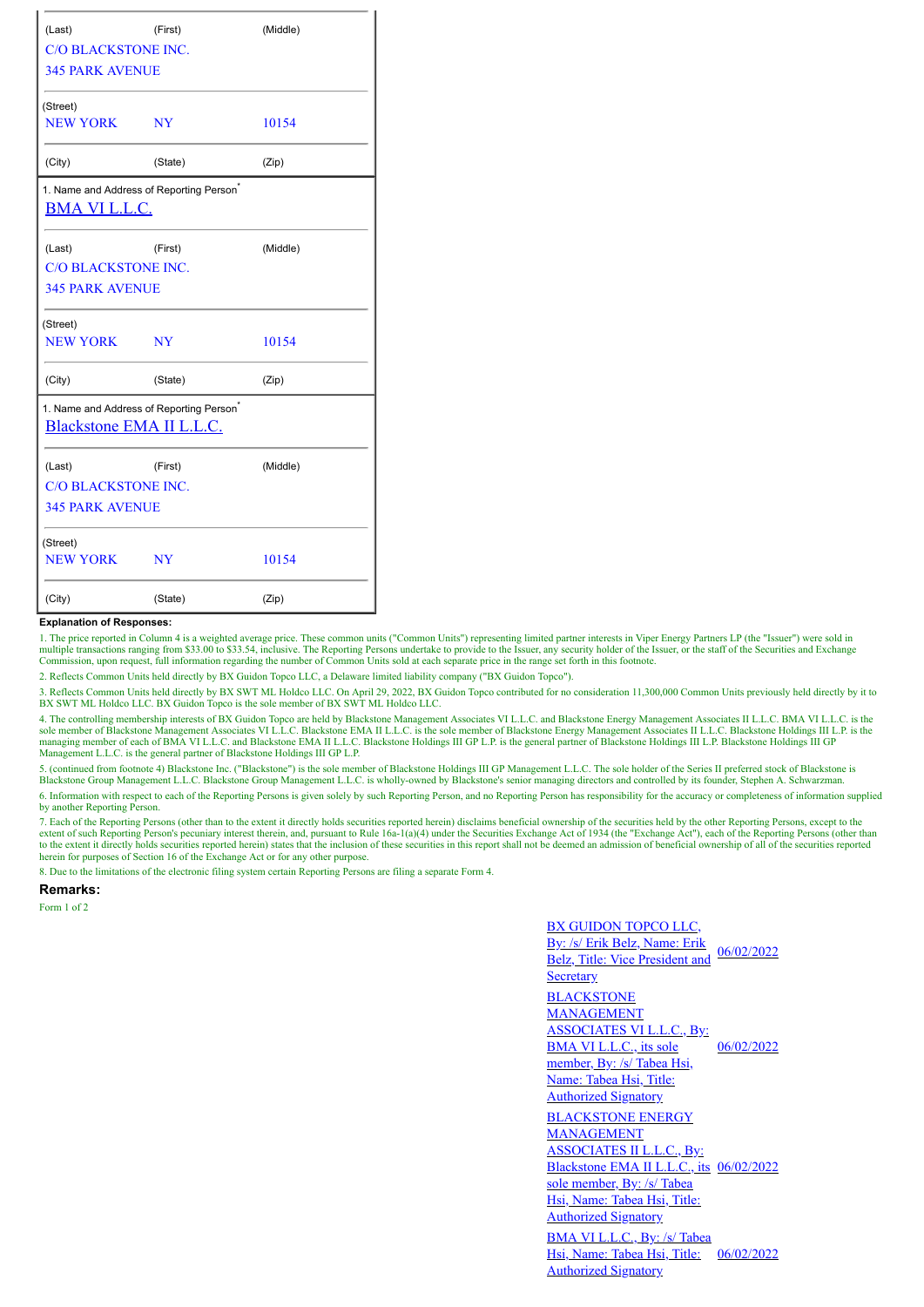| (Last)                                               | (First)                    | (Middle) |  |  |  |  |  |  |  |  |
|------------------------------------------------------|----------------------------|----------|--|--|--|--|--|--|--|--|
| <b>C/O BLACKSTONE INC.</b>                           |                            |          |  |  |  |  |  |  |  |  |
| <b>345 PARK AVENUE</b>                               |                            |          |  |  |  |  |  |  |  |  |
| (Street)                                             |                            |          |  |  |  |  |  |  |  |  |
| <b>NEW YORK</b>                                      | <b>NY</b>                  | 10154    |  |  |  |  |  |  |  |  |
| (City)                                               | (State)                    | (Zip)    |  |  |  |  |  |  |  |  |
| 1. Name and Address of Reporting Person <sup>®</sup> |                            |          |  |  |  |  |  |  |  |  |
| <b>BMA VI L.L.C.</b>                                 |                            |          |  |  |  |  |  |  |  |  |
| (Last)                                               | (First)                    | (Middle) |  |  |  |  |  |  |  |  |
| <b>C/O BLACKSTONE INC.</b>                           |                            |          |  |  |  |  |  |  |  |  |
| <b>345 PARK AVENUE</b>                               |                            |          |  |  |  |  |  |  |  |  |
| (Street)                                             |                            |          |  |  |  |  |  |  |  |  |
| <b>NEW YORK</b>                                      | <b>NY</b>                  | 10154    |  |  |  |  |  |  |  |  |
| (City)                                               | (State)                    | (Zip)    |  |  |  |  |  |  |  |  |
| 1. Name and Address of Reporting Person <sup>®</sup> |                            |          |  |  |  |  |  |  |  |  |
| Blackstone EMA II L.L.C.                             |                            |          |  |  |  |  |  |  |  |  |
| (Last)                                               | (First)                    | (Middle) |  |  |  |  |  |  |  |  |
|                                                      | <b>C/O BLACKSTONE INC.</b> |          |  |  |  |  |  |  |  |  |
| <b>345 PARK AVENUE</b>                               |                            |          |  |  |  |  |  |  |  |  |
| (Street)                                             |                            |          |  |  |  |  |  |  |  |  |
| <b>NEW YORK</b>                                      | <b>NY</b>                  | 10154    |  |  |  |  |  |  |  |  |
| (City)                                               | (State)                    | (Zip)    |  |  |  |  |  |  |  |  |

## **Explanation of Responses:**

1. The price reported in Column 4 is a weighted average price. These common units ("Common Units") representing limited partner interests in Viper Energy Partners LP (the "Issuer") were sold in multiple transactions ranging from \$33.00 to \$33.54, inclusive. The Reporting Persons undertake to provide to the Issuer, any security holder of the Issuer, or the staff of the Securities and Exchange Commission, upon request, full information regarding the number of Common Units sold at each separate price in the range set forth in this footnote.

2. Reflects Common Units held directly by BX Guidon Topco LLC, a Delaware limited liability company ("BX Guidon Topco").

3. Reflects Common Units held directly by BX SWT ML Holdco LLC. On April 29, 2022, BX Guidon Topco contributed for no consideration 11,300,000 Common Units previously held directly by it to<br>BX SWT ML Holdco LLC. BX Guidon

4. The controlling membership interests of BX Guidon Topco are held by Blackstone Management Associates VI L.L.C. and Blackstone Energy Management Associates II L.L.C. BMA VI L.L.C. is the sole member of Blackstone Management Associates VI L.L.C. Blackstone EMA II L.L.C. is the sole member of Blackstone Energy Management Associates II L.L.C. Blackstone Holdings III L.P. is the<br>managing member of each of BMA Management L.L.C. is the general partner of Blackstone Holdings III GP L.P.

5. (continued from footnote 4) Blackstone Inc. ("Blackstone") is the sole member of Blackstone Holdings III GP Management L.L.C. The sole holder of the Series II preferred stock of Blackstone is Blackstone Group Management L.L.C. Blackstone Group Management L.L.C. is wholly-owned by Blackstone's senior managing directors and controlled by its founder, Stephen A. Schwarzman.

6. Information with respect to each of the Reporting Persons is given solely by such Reporting Person, and no Reporting Person has responsibility for the accuracy or completeness of information supplied by another Reporting Person.

7. Each of the Reporting Persons (other than to the extent it directly holds securities reported herein) disclaims beneficial ownership of the securities held by the other Reporting Persons, except to the securitions perso herein for purposes of Section 16 of the Exchange Act or for any other purpose.

8. Due to the limitations of the electronic filing system certain Reporting Persons are filing a separate Form 4.

**Remarks:**

Form 1 of 2

BX GUIDON TOPCO LLC, By: /s/ Erik Belz, Name: Erik Belz, Title: Vice President and **Secretary** 06/02/2022 BLACKSTONE **MANAGEMENT** ASSOCIATES VI L.L.C., By: BMA VI L.L.C., its sole member, By: /s/ Tabea Hsi, Name: Tabea Hsi, Title: Authorized Signatory 06/02/2022 BLACKSTONE ENERGY MANAGEMENT ASSOCIATES II L.L.C., By: Blackstone EMA II L.L.C., its 06/02/2022 sole member, By: /s/ Tabea Hsi, Name: Tabea Hsi, Title: Authorized Signatory BMA VI L.L.C., By: /s/ Tabea Hsi, Name: Tabea Hsi, Title: Authorized Signatory 06/02/2022